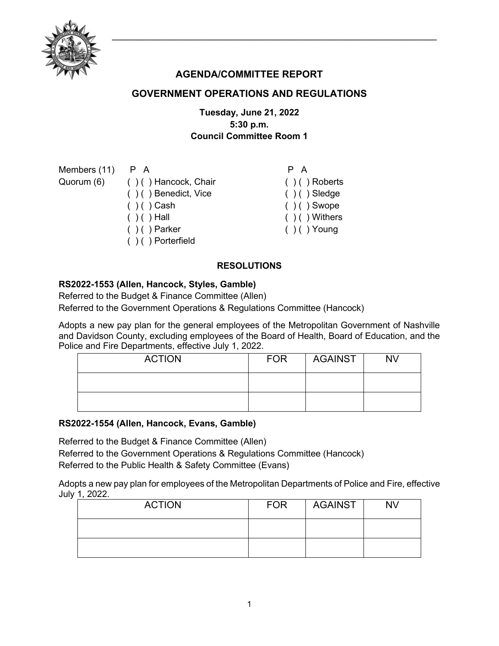

# **AGENDA/COMMITTEE REPORT**

# **GOVERNMENT OPERATIONS AND REGULATIONS**

## **Tuesday, June 21, 2022 5:30 p.m. Council Committee Room 1**

| Members (11) | PA                              | P A               |
|--------------|---------------------------------|-------------------|
|              | Quorum (6) () () Hancock, Chair | $( ) ( )$ Roberts |
|              | ()() Benedict, Vice             | $( ) ( )$ Sledge  |
|              | $( ) ( )$ Cash                  | $( ) ( )$ Swope   |
|              | $( ) ( )$ Hall                  | $( )$ ( ) Withers |
|              | $( ) ( )$ Parker                | $( ) ( )$ Young   |
|              | $( ) ( )$ Porterfield           |                   |
|              |                                 |                   |

### **RESOLUTIONS**

#### **RS2022-1553 (Allen, Hancock, Styles, Gamble)**

Referred to the Budget & Finance Committee (Allen)

Referred to the Government Operations & Regulations Committee (Hancock)

Adopts a new pay plan for the general employees of the Metropolitan Government of Nashville and Davidson County, excluding employees of the Board of Health, Board of Education, and the Police and Fire Departments, effective July 1, 2022.

| <b>ACTION</b> | <b>FOR</b> | AGAINST | <b>NV</b> |
|---------------|------------|---------|-----------|
|               |            |         |           |
|               |            |         |           |

#### **RS2022-1554 (Allen, Hancock, Evans, Gamble)**

Referred to the Budget & Finance Committee (Allen) Referred to the Government Operations & Regulations Committee (Hancock) Referred to the Public Health & Safety Committee (Evans)

Adopts a new pay plan for employees of the Metropolitan Departments of Police and Fire, effective July 1, 2022.

| <b>ACTION</b> | <b>FOR</b> | <b>AGAINST</b> | <b>NV</b> |
|---------------|------------|----------------|-----------|
|               |            |                |           |
|               |            |                |           |